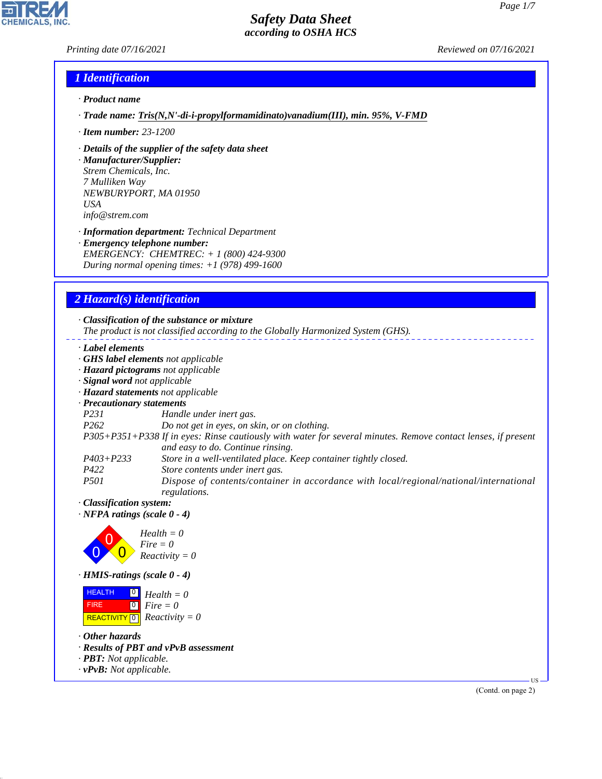#### *Printing date 07/16/2021 Reviewed on 07/16/2021*

**CHEMICALS, INC.** 

# *1 Identification*

- *· Product name*
- *· Trade name: Tris(N,N'-di-i-propylformamidinato)vanadium(III), min. 95%, V-FMD*
- *· Item number: 23-1200*
- *· Details of the supplier of the safety data sheet*
- *· Manufacturer/Supplier: Strem Chemicals, Inc. 7 Mulliken Way NEWBURYPORT, MA 01950 USA info@strem.com*
- *· Information department: Technical Department · Emergency telephone number: EMERGENCY: CHEMTREC: + 1 (800) 424-9300 During normal opening times: +1 (978) 499-1600*

# *2 Hazard(s) identification*

|                                | · Classification of the substance or mixture                                                                                                       |
|--------------------------------|----------------------------------------------------------------------------------------------------------------------------------------------------|
|                                | The product is not classified according to the Globally Harmonized System (GHS).                                                                   |
| Label elements                 |                                                                                                                                                    |
|                                | <b>GHS label elements</b> not applicable                                                                                                           |
|                                | · Hazard pictograms not applicable                                                                                                                 |
| · Signal word not applicable   |                                                                                                                                                    |
|                                | · Hazard statements not applicable                                                                                                                 |
| · Precautionary statements     |                                                                                                                                                    |
| <i>P231</i>                    | Handle under inert gas.                                                                                                                            |
| P <sub>262</sub>               | Do not get in eyes, on skin, or on clothing.                                                                                                       |
|                                | P305+P351+P338 If in eyes: Rinse cautiously with water for several minutes. Remove contact lenses, if present<br>and easy to do. Continue rinsing. |
| $P403 + P233$                  | Store in a well-ventilated place. Keep container tightly closed.                                                                                   |
| P422                           | Store contents under inert gas.                                                                                                                    |
| <i>P501</i>                    | Dispose of contents/container in accordance with local/regional/national/international<br>regulations.                                             |
| $\cdot$ Classification system: |                                                                                                                                                    |

*· NFPA ratings (scale 0 - 4)*



*· HMIS-ratings (scale 0 - 4)*

| <b>HEALTH</b> | $\overline{0}$ Health = 0                                   |
|---------------|-------------------------------------------------------------|
| <b>FIRE</b>   | $\begin{bmatrix} \bullet \\ \bullet \end{bmatrix}$ Fire = 0 |
|               | REACTIVITY $\boxed{0}$ <i>Reactivity</i> = 0                |

*· Other hazards*

44.1.1

- *· Results of PBT and vPvB assessment*
- *· PBT: Not applicable.*
- *· vPvB: Not applicable.*

(Contd. on page 2)

US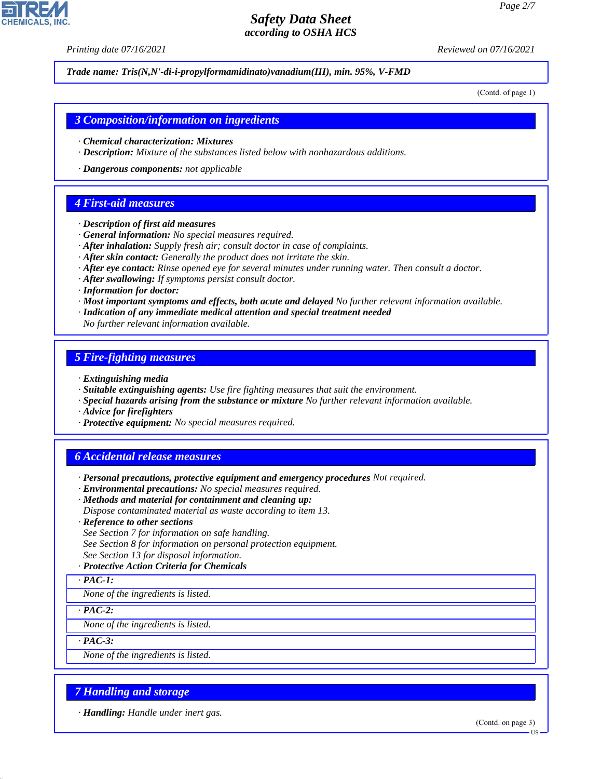*Printing date 07/16/2021 Reviewed on 07/16/2021*

*Trade name: Tris(N,N'-di-i-propylformamidinato)vanadium(III), min. 95%, V-FMD*

(Contd. of page 1)

#### *3 Composition/information on ingredients*

- *· Chemical characterization: Mixtures*
- *· Description: Mixture of the substances listed below with nonhazardous additions.*
- *· Dangerous components: not applicable*

#### *4 First-aid measures*

- *· Description of first aid measures*
- *· General information: No special measures required.*
- *· After inhalation: Supply fresh air; consult doctor in case of complaints.*
- *· After skin contact: Generally the product does not irritate the skin.*
- *· After eye contact: Rinse opened eye for several minutes under running water. Then consult a doctor.*
- *· After swallowing: If symptoms persist consult doctor.*
- *· Information for doctor:*
- *· Most important symptoms and effects, both acute and delayed No further relevant information available.*
- *· Indication of any immediate medical attention and special treatment needed*
- *No further relevant information available.*

#### *5 Fire-fighting measures*

- *· Extinguishing media*
- *· Suitable extinguishing agents: Use fire fighting measures that suit the environment.*
- *· Special hazards arising from the substance or mixture No further relevant information available.*
- *· Advice for firefighters*
- *· Protective equipment: No special measures required.*

## *6 Accidental release measures*

- *· Personal precautions, protective equipment and emergency procedures Not required.*
- *· Environmental precautions: No special measures required.*
- *· Methods and material for containment and cleaning up:*
- *Dispose contaminated material as waste according to item 13.*
- *· Reference to other sections*
- *See Section 7 for information on safe handling.*
- *See Section 8 for information on personal protection equipment.*
- *See Section 13 for disposal information.*

#### *· Protective Action Criteria for Chemicals*

*· PAC-1:*

*None of the ingredients is listed.*

*· PAC-2:*

*None of the ingredients is listed.*

*· PAC-3:*

44.1.1

*None of the ingredients is listed.*

## *7 Handling and storage*

*· Handling: Handle under inert gas.*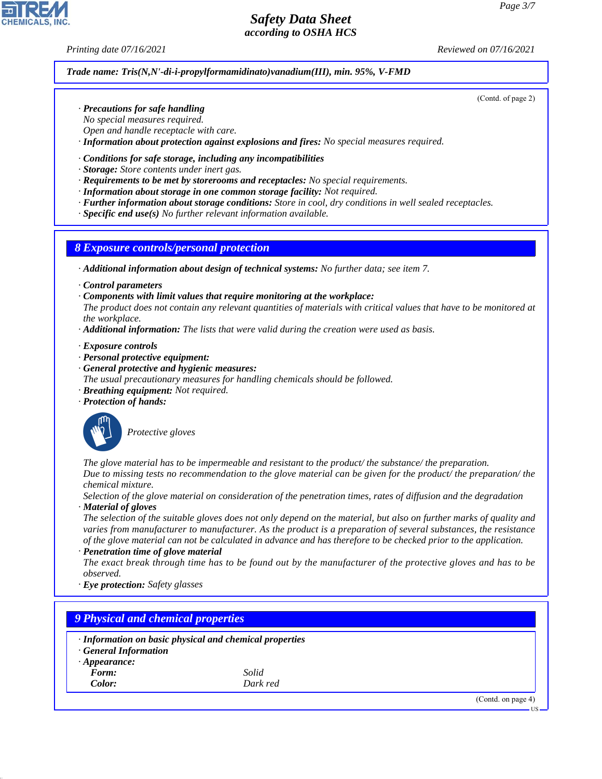(Contd. of page 2)

# *Safety Data Sheet according to OSHA HCS*

*Printing date 07/16/2021 Reviewed on 07/16/2021*

#### *Trade name: Tris(N,N'-di-i-propylformamidinato)vanadium(III), min. 95%, V-FMD*

- *· Precautions for safe handling*
- *No special measures required.*
- *Open and handle receptacle with care.*
- *· Information about protection against explosions and fires: No special measures required.*

#### *· Conditions for safe storage, including any incompatibilities*

- *· Storage: Store contents under inert gas.*
- *· Requirements to be met by storerooms and receptacles: No special requirements.*
- *· Information about storage in one common storage facility: Not required.*
- *· Further information about storage conditions: Store in cool, dry conditions in well sealed receptacles.*
- *· Specific end use(s) No further relevant information available.*

### *8 Exposure controls/personal protection*

- *· Additional information about design of technical systems: No further data; see item 7.*
- *· Control parameters*
- *· Components with limit values that require monitoring at the workplace:*

*The product does not contain any relevant quantities of materials with critical values that have to be monitored at the workplace.*

*· Additional information: The lists that were valid during the creation were used as basis.*

*· Exposure controls*

- *· Personal protective equipment:*
- *· General protective and hygienic measures:*
- *The usual precautionary measures for handling chemicals should be followed.*
- *· Breathing equipment: Not required.*
- *· Protection of hands:*



\_S*Protective gloves*

*The glove material has to be impermeable and resistant to the product/ the substance/ the preparation. Due to missing tests no recommendation to the glove material can be given for the product/ the preparation/ the*

*chemical mixture.*

*Selection of the glove material on consideration of the penetration times, rates of diffusion and the degradation · Material of gloves*

*The selection of the suitable gloves does not only depend on the material, but also on further marks of quality and varies from manufacturer to manufacturer. As the product is a preparation of several substances, the resistance of the glove material can not be calculated in advance and has therefore to be checked prior to the application. · Penetration time of glove material*

*The exact break through time has to be found out by the manufacturer of the protective gloves and has to be observed.*

*· Eye protection: Safety glasses*

# *9 Physical and chemical properties*

- *· Information on basic physical and chemical properties*
- *· General Information*
- *· Appearance:*
	- *Form: Solid*

44.1.1

*Color: Dark red*

(Contd. on page 4)

US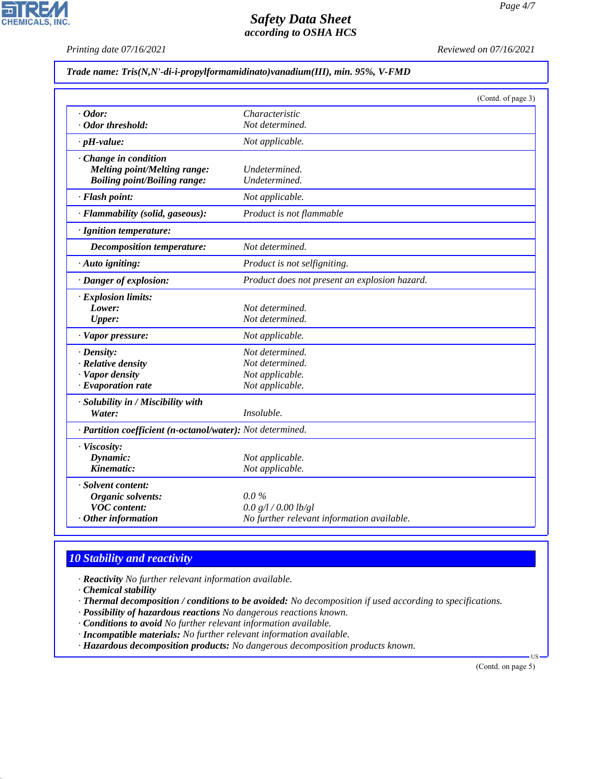**CHEMICALS, INC.** 

*Printing date 07/16/2021 Reviewed on 07/16/2021*

#### *Trade name: Tris(N,N'-di-i-propylformamidinato)vanadium(III), min. 95%, V-FMD*

|                                                            | (Contd. of page 3)                            |
|------------------------------------------------------------|-----------------------------------------------|
| $\cdot$ Odor:                                              | Characteristic                                |
| · Odor threshold:                                          | Not determined.                               |
| $\cdot$ pH-value:                                          | Not applicable.                               |
| · Change in condition                                      |                                               |
| <b>Melting point/Melting range:</b>                        | Undetermined.                                 |
| <b>Boiling point/Boiling range:</b>                        | Undetermined.                                 |
| · Flash point:                                             | Not applicable.                               |
| · Flammability (solid, gaseous):                           | Product is not flammable                      |
| · Ignition temperature:                                    |                                               |
| Decomposition temperature:                                 | Not determined.                               |
| · Auto igniting:                                           | Product is not selfigniting.                  |
| · Danger of explosion:                                     | Product does not present an explosion hazard. |
| · Explosion limits:                                        |                                               |
| Lower:                                                     | Not determined.                               |
| <b>Upper:</b>                                              | Not determined.                               |
| · Vapor pressure:                                          | Not applicable.                               |
| $\cdot$ Density:                                           | Not determined.                               |
| · Relative density                                         | Not determined.                               |
| · Vapor density                                            | Not applicable.                               |
| $\cdot$ Evaporation rate                                   | Not applicable.                               |
| · Solubility in / Miscibility with                         |                                               |
| Water:                                                     | Insoluble.                                    |
| · Partition coefficient (n-octanol/water): Not determined. |                                               |
| · Viscosity:                                               |                                               |
| Dynamic:                                                   | Not applicable.                               |
| Kinematic:                                                 | Not applicable.                               |
| · Solvent content:                                         |                                               |
| Organic solvents:                                          | $0.0\%$                                       |
| <b>VOC</b> content:                                        | 0.0 g/l / 0.00 lb/gl                          |
| $\cdot$ Other information                                  | No further relevant information available.    |

# *10 Stability and reactivity*

*· Reactivity No further relevant information available.*

*· Chemical stability*

44.1.1

*· Thermal decomposition / conditions to be avoided: No decomposition if used according to specifications.*

- *· Possibility of hazardous reactions No dangerous reactions known.*
- *· Conditions to avoid No further relevant information available.*
- *· Incompatible materials: No further relevant information available.*

*· Hazardous decomposition products: No dangerous decomposition products known.*

(Contd. on page 5)

US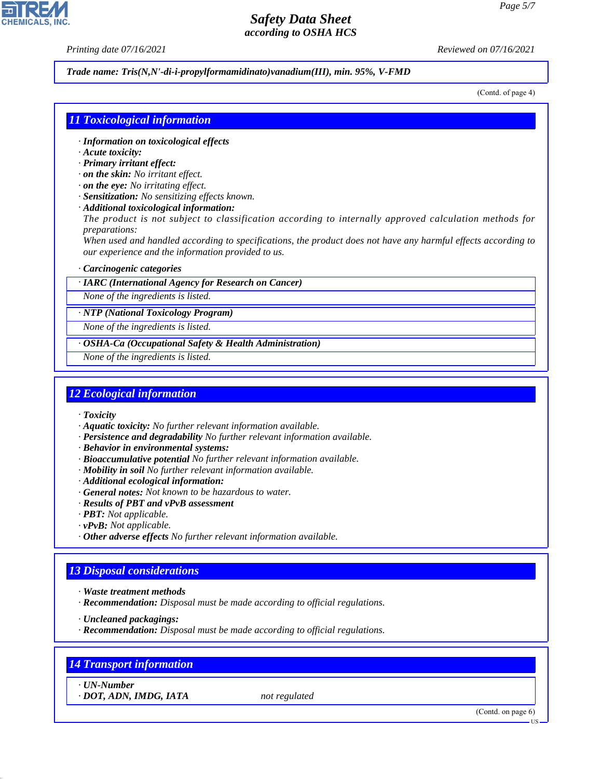*Printing date 07/16/2021 Reviewed on 07/16/2021*

#### *Trade name: Tris(N,N'-di-i-propylformamidinato)vanadium(III), min. 95%, V-FMD*

(Contd. of page 4)

#### *11 Toxicological information*

- *· Information on toxicological effects*
- *· Acute toxicity:*
- *· Primary irritant effect:*
- *· on the skin: No irritant effect.*
- *· on the eye: No irritating effect.*
- *· Sensitization: No sensitizing effects known.*
- *· Additional toxicological information:*

*The product is not subject to classification according to internally approved calculation methods for preparations:*

*When used and handled according to specifications, the product does not have any harmful effects according to our experience and the information provided to us.*

#### *· Carcinogenic categories*

*· IARC (International Agency for Research on Cancer)*

*None of the ingredients is listed.*

*· NTP (National Toxicology Program)*

*None of the ingredients is listed.*

*· OSHA-Ca (Occupational Safety & Health Administration)*

*None of the ingredients is listed.*

#### *12 Ecological information*

- *· Toxicity*
- *· Aquatic toxicity: No further relevant information available.*
- *· Persistence and degradability No further relevant information available.*
- *· Behavior in environmental systems:*
- *· Bioaccumulative potential No further relevant information available.*
- *· Mobility in soil No further relevant information available.*
- *· Additional ecological information:*
- *· General notes: Not known to be hazardous to water.*
- *· Results of PBT and vPvB assessment*
- *· PBT: Not applicable.*
- *· vPvB: Not applicable.*
- *· Other adverse effects No further relevant information available.*

### *13 Disposal considerations*

- *· Waste treatment methods*
- *· Recommendation: Disposal must be made according to official regulations.*

*· Uncleaned packagings:*

*· Recommendation: Disposal must be made according to official regulations.*

## *14 Transport information*

*· UN-Number*

44.1.1

*· DOT, ADN, IMDG, IATA not regulated*

(Contd. on page 6)

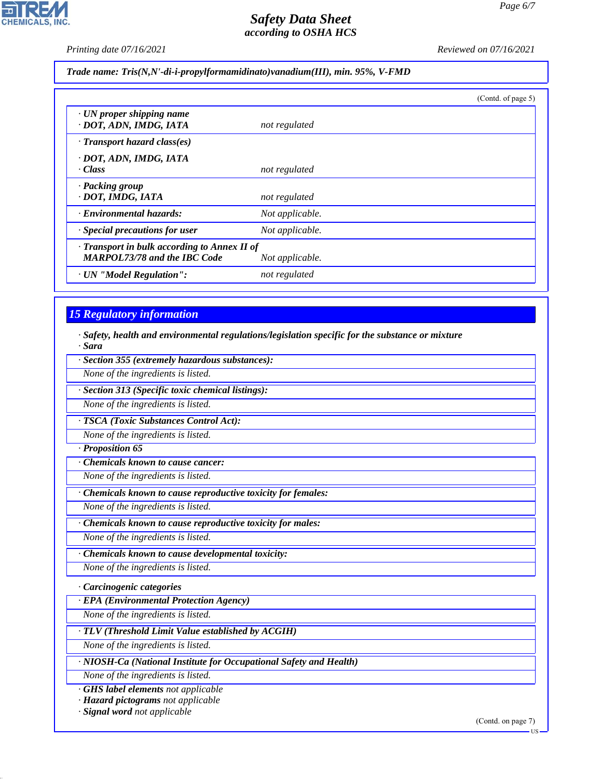**CHEMICALS, INC.** 

*Printing date 07/16/2021 Reviewed on 07/16/2021*

*Trade name: Tris(N,N'-di-i-propylformamidinato)vanadium(III), min. 95%, V-FMD*

|                                                           |                                                                 | (Contd. of page 5) |
|-----------------------------------------------------------|-----------------------------------------------------------------|--------------------|
| $\cdot$ UN proper shipping name<br>· DOT, ADN, IMDG, IATA | not regulated                                                   |                    |
| $\cdot$ Transport hazard class(es)                        |                                                                 |                    |
| · DOT, ADN, IMDG, IATA<br>· Class                         | not regulated                                                   |                    |
| · Packing group<br>· DOT, IMDG, IATA                      | not regulated                                                   |                    |
| · Environmental hazards:                                  | Not applicable.                                                 |                    |
| $\cdot$ Special precautions for user                      | Not applicable.                                                 |                    |
| <b>MARPOL73/78 and the IBC Code</b>                       | · Transport in bulk according to Annex II of<br>Not applicable. |                    |
| · UN "Model Regulation":                                  | not regulated                                                   |                    |

## *15 Regulatory information*

*· Safety, health and environmental regulations/legislation specific for the substance or mixture · Sara*

*· Section 355 (extremely hazardous substances):*

*None of the ingredients is listed.*

*· Section 313 (Specific toxic chemical listings):*

*None of the ingredients is listed.*

*· TSCA (Toxic Substances Control Act):*

*None of the ingredients is listed.*

*· Proposition 65*

*· Chemicals known to cause cancer:*

*None of the ingredients is listed.*

*· Chemicals known to cause reproductive toxicity for females:*

*None of the ingredients is listed.*

*· Chemicals known to cause reproductive toxicity for males:*

*None of the ingredients is listed.*

*· Chemicals known to cause developmental toxicity:*

*None of the ingredients is listed.*

*· Carcinogenic categories*

*· EPA (Environmental Protection Agency)*

*None of the ingredients is listed.*

*· TLV (Threshold Limit Value established by ACGIH)*

*None of the ingredients is listed.*

*· NIOSH-Ca (National Institute for Occupational Safety and Health)*

*None of the ingredients is listed.*

*· GHS label elements not applicable*

*· Hazard pictograms not applicable*

*· Signal word not applicable*

44.1.1

(Contd. on page 7)

**HS**